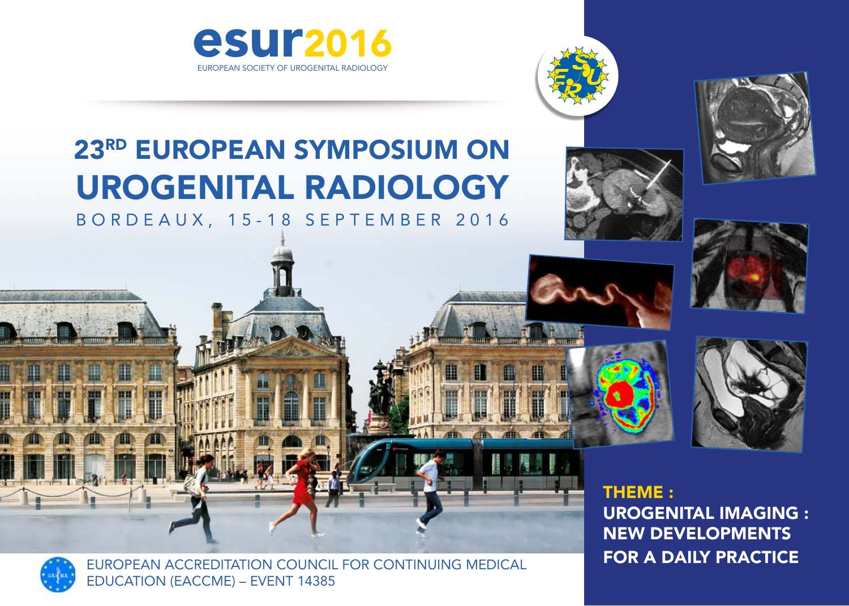



# 23RD EUROPEAN SYMPOSIUM ON UROGENITAL RADIOLOGY B O R D E A U X , 1 5 - 1 8 S E P T E M B E R 2 0 1 6







THEME : UROGENITAL IMAGING : NEW DEVELOPMENTS



FOR A DAILY PRACTICE EUROPEAN ACCREDITATION COUNCIL FOR CONTINUING MEDICAL EDUCATION (EACCME) – EVENT 14385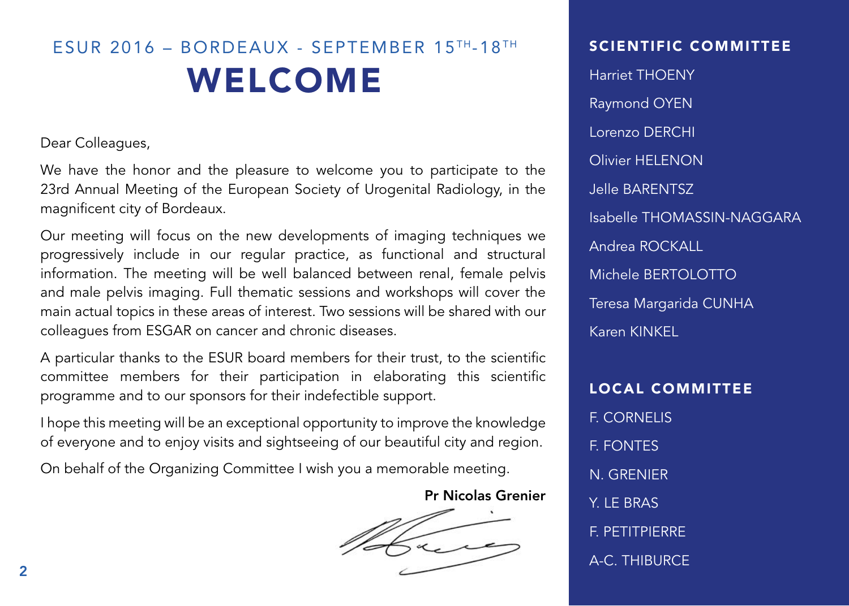# ESUR 2016 – BORDEAUX - SEPTEMBER 15 TH-18 TH WELCOME

Dear Colleagues,

We have the honor and the pleasure to welcome you to participate to the 23rd Annual Meeting of the European Society of Urogenital Radiology, in the magnificent city of Bordeaux.

Our meeting will focus on the new developments of imaging techniques we progressively include in our regular practice, as functional and structural information. The meeting will be well balanced between renal, female pelvis and male pelvis imaging. Full thematic sessions and workshops will cover the main actual topics in these areas of interest. Two sessions will be shared with our colleagues from ESGAR on cancer and chronic diseases.

A particular thanks to the ESUR board members for their trust, to the scientific committee members for their participation in elaborating this scientific programme and to our sponsors for their indefectible support.

I hope this meeting will be an exceptional opportunity to improve the knowledge of everyone and to enjoy visits and sightseeing of our beautiful city and region.

On behalf of the Organizing Committee I wish you a memorable meeting.

Pr Nicolas Grenier

### SCIENTIFIC COMMITTEE

Harriet THOENY Raymond OYEN Lorenzo DERCHI Olivier HELENON Jelle BARENTSZ Isabelle THOMASSIN-NAGGARA Andrea ROCKALL Michele BERTOLOTTO Teresa Margarida CUNHA Karen KINKEL

LOCAL COMMITTEE F. CORNELIS F. FONTES N. GRENIER Y. I F. BRAS F. PETITPIERRE A-C. THIBURCE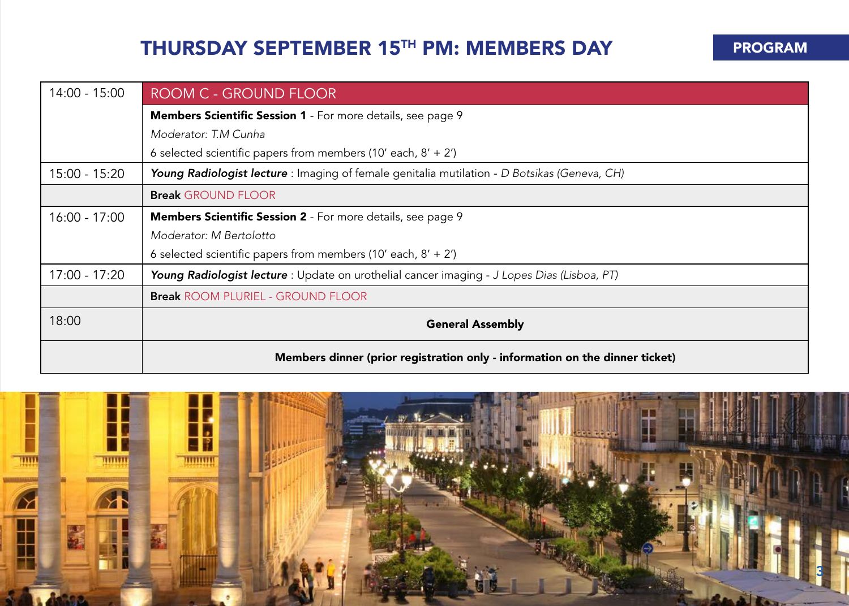## THURSDAY SEPTEMBER 15TH PM: MEMBERS DAY PROGRAM

| $14:00 - 15:00$ | ROOM C - GROUND FLOOR                                                                        |  |  |
|-----------------|----------------------------------------------------------------------------------------------|--|--|
|                 | <b>Members Scientific Session 1</b> - For more details, see page 9                           |  |  |
|                 | Moderator: T.M Cunha                                                                         |  |  |
|                 | 6 selected scientific papers from members (10' each, $8' + 2'$ )                             |  |  |
| 15:00 - 15:20   | Young Radiologist lecture : Imaging of female genitalia mutilation - D Botsikas (Geneva, CH) |  |  |
|                 | <b>Break GROUND FLOOR</b>                                                                    |  |  |
| 16:00 - 17:00   | <b>Members Scientific Session 2</b> - For more details, see page 9                           |  |  |
|                 | Moderator: M Bertolotto                                                                      |  |  |
|                 | 6 selected scientific papers from members (10' each, $8' + 2'$ )                             |  |  |
| 17:00 - 17:20   | Young Radiologist lecture : Update on urothelial cancer imaging - J Lopes Dias (Lisboa, PT)  |  |  |
|                 | <b>Break ROOM PLURIEL - GROUND FLOOR</b>                                                     |  |  |
| 18:00           | <b>General Assembly</b>                                                                      |  |  |
|                 | Members dinner (prior registration only - information on the dinner ticket)                  |  |  |

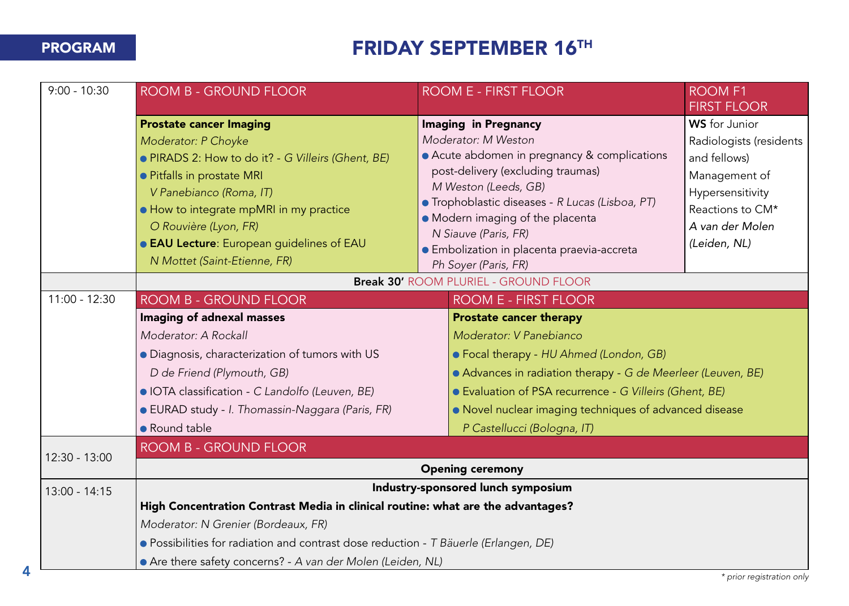## **FRIDAY SEPTEMBER 16<sup>TH</sup>**

| $9:00 - 10:30$  | <b>ROOM B - GROUND FLOOR</b>                                                         | ROOM E - FIRST FLOOR                                                                                                                                               |                                                          | <b>ROOM F1</b><br><b>FIRST FLOOR</b> |  |
|-----------------|--------------------------------------------------------------------------------------|--------------------------------------------------------------------------------------------------------------------------------------------------------------------|----------------------------------------------------------|--------------------------------------|--|
|                 | <b>Prostate cancer Imaging</b>                                                       |                                                                                                                                                                    | <b>Imaging in Pregnancy</b>                              | WS for Junior                        |  |
|                 | Moderator: P Choyke                                                                  | Moderator: M Weston                                                                                                                                                |                                                          | Radiologists (residents              |  |
|                 | • PIRADS 2: How to do it? - G Villeirs (Ghent, BE)                                   |                                                                                                                                                                    | • Acute abdomen in pregnancy & complications             | and fellows)                         |  |
|                 | · Pitfalls in prostate MRI                                                           |                                                                                                                                                                    | post-delivery (excluding traumas)                        | Management of                        |  |
|                 | V Panebianco (Roma, IT)                                                              |                                                                                                                                                                    | M Weston (Leeds, GB)                                     | Hypersensitivity                     |  |
|                 | • How to integrate mpMRI in my practice                                              |                                                                                                                                                                    | · Trophoblastic diseases - R Lucas (Lisboa, PT)          | Reactions to CM*                     |  |
|                 | O Rouvière (Lyon, FR)                                                                |                                                                                                                                                                    | · Modern imaging of the placenta<br>N Siauve (Paris, FR) | A van der Molen                      |  |
|                 | • EAU Lecture: European guidelines of EAU                                            |                                                                                                                                                                    | · Embolization in placenta praevia-accreta               | (Leiden, NL)                         |  |
|                 | N Mottet (Saint-Etienne, FR)                                                         |                                                                                                                                                                    | Ph Soyer (Paris, FR)                                     |                                      |  |
|                 |                                                                                      |                                                                                                                                                                    | <b>Break 30' ROOM PLURIEL - GROUND FLOOR</b>             |                                      |  |
| $11:00 - 12:30$ | <b>ROOM B - GROUND FLOOR</b>                                                         |                                                                                                                                                                    | ROOM E - FIRST FLOOR                                     |                                      |  |
|                 | Imaging of adnexal masses                                                            |                                                                                                                                                                    | <b>Prostate cancer therapy</b>                           |                                      |  |
|                 | Moderator: A Rockall                                                                 | Moderator: V Panebianco                                                                                                                                            |                                                          |                                      |  |
|                 | · Diagnosis, characterization of tumors with US                                      | • Focal therapy - HU Ahmed (London, GB)<br>• Advances in radiation therapy - G de Meerleer (Leuven, BE)<br>• Evaluation of PSA recurrence - G Villeirs (Ghent, BE) |                                                          |                                      |  |
|                 | D de Friend (Plymouth, GB)                                                           |                                                                                                                                                                    |                                                          |                                      |  |
|                 | · IOTA classification - C Landolfo (Leuven, BE)                                      |                                                                                                                                                                    |                                                          |                                      |  |
|                 | · EURAD study - I. Thomassin-Naggara (Paris, FR)                                     |                                                                                                                                                                    | • Novel nuclear imaging techniques of advanced disease   |                                      |  |
|                 | • Round table                                                                        | P Castellucci (Bologna, IT)                                                                                                                                        |                                                          |                                      |  |
|                 | ROOM B - GROUND FLOOR                                                                |                                                                                                                                                                    |                                                          |                                      |  |
| 12:30 - 13:00   | <b>Opening ceremony</b>                                                              |                                                                                                                                                                    |                                                          |                                      |  |
| $13:00 - 14:15$ | Industry-sponsored lunch symposium                                                   |                                                                                                                                                                    |                                                          |                                      |  |
|                 | High Concentration Contrast Media in clinical routine: what are the advantages?      |                                                                                                                                                                    |                                                          |                                      |  |
|                 | Moderator: N Grenier (Bordeaux, FR)                                                  |                                                                                                                                                                    |                                                          |                                      |  |
|                 | · Possibilities for radiation and contrast dose reduction - T Bäuerle (Erlangen, DE) |                                                                                                                                                                    |                                                          |                                      |  |
|                 | • Are there safety concerns? - A van der Molen (Leiden, NL)                          |                                                                                                                                                                    |                                                          |                                      |  |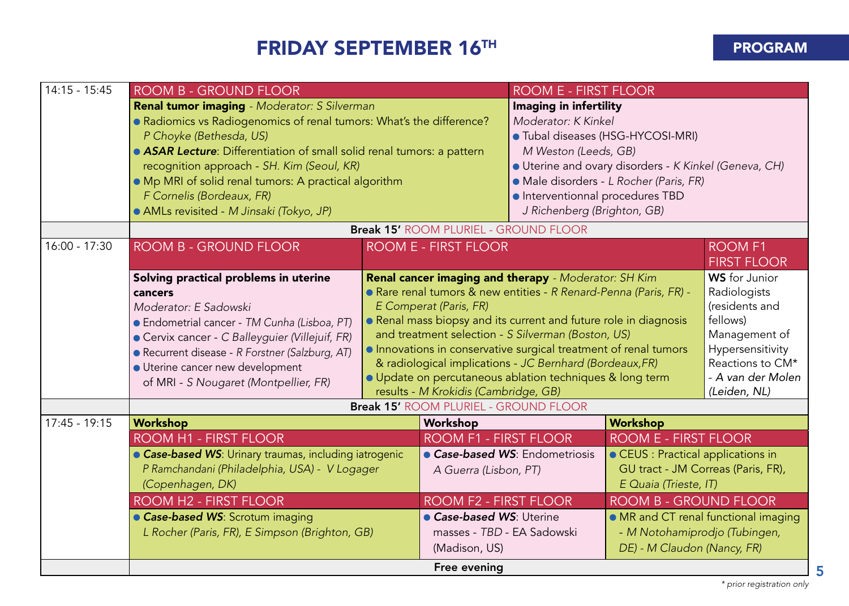## FRIDAY SEPTEMBER 16TH **PROGRAM**

| 14:15 - 15:45   | ROOM B - GROUND FLOOR                                                                                                                                                                                                                                                                                                                                                                                            |  | ROOM E - FIRST FLOOR                                                                                                                                                                                                                                                                                                                                                                                                                                                                                            |                                                                                                                                       |                                                                                                                                                                  |                                      |
|-----------------|------------------------------------------------------------------------------------------------------------------------------------------------------------------------------------------------------------------------------------------------------------------------------------------------------------------------------------------------------------------------------------------------------------------|--|-----------------------------------------------------------------------------------------------------------------------------------------------------------------------------------------------------------------------------------------------------------------------------------------------------------------------------------------------------------------------------------------------------------------------------------------------------------------------------------------------------------------|---------------------------------------------------------------------------------------------------------------------------------------|------------------------------------------------------------------------------------------------------------------------------------------------------------------|--------------------------------------|
|                 | <b>Renal tumor imaging</b> - Moderator: S Silverman<br>• Radiomics vs Radiogenomics of renal tumors: What's the difference?<br>P Choyke (Bethesda, US)<br>• ASAR Lecture: Differentiation of small solid renal tumors: a pattern<br>recognition approach - SH. Kim (Seoul, KR)<br>. Mp MRI of solid renal tumors: A practical algorithm<br>F Cornelis (Bordeaux, FR)<br>• AMLs revisited - M Jinsaki (Tokyo, JP) |  | Imaging in infertility<br>Moderator: K Kinkel<br>M Weston (Leeds, GB)<br>· Interventionnal procedures TBD<br>J Richenberg (Brighton, GB)                                                                                                                                                                                                                                                                                                                                                                        | · Tubal diseases (HSG-HYCOSI-MRI)<br>• Uterine and ovary disorders - K Kinkel (Geneva, CH)<br>• Male disorders - L Rocher (Paris, FR) |                                                                                                                                                                  |                                      |
|                 |                                                                                                                                                                                                                                                                                                                                                                                                                  |  | <b>Break 15' ROOM PLURIEL - GROUND FLOOR</b>                                                                                                                                                                                                                                                                                                                                                                                                                                                                    |                                                                                                                                       |                                                                                                                                                                  |                                      |
| 16:00 - 17:30   | <b>ROOM B - GROUND FLOOR</b>                                                                                                                                                                                                                                                                                                                                                                                     |  | ROOM E - FIRST FLOOR                                                                                                                                                                                                                                                                                                                                                                                                                                                                                            |                                                                                                                                       |                                                                                                                                                                  | <b>ROOM F1</b><br><b>FIRST FLOOR</b> |
|                 | Solving practical problems in uterine<br>cancers<br>Moderator: E Sadowski<br>• Endometrial cancer - TM Cunha (Lisboa, PT)<br>• Cervix cancer - C Balleyguier (Villejuif, FR)<br>· Recurrent disease - R Forstner (Salzburg, AT)<br>· Uterine cancer new development<br>of MRI - S Nougaret (Montpellier, FR)                                                                                                     |  | Renal cancer imaging and therapy - Moderator: SH Kim<br>• Rare renal tumors & new entities - R Renard-Penna (Paris, FR) -<br>E Comperat (Paris, FR)<br>• Renal mass biopsy and its current and future role in diagnosis<br>and treatment selection - S Silverman (Boston, US)<br>Innovations in conservative surgical treatment of renal tumors<br>& radiological implications - JC Bernhard (Bordeaux, FR)<br>· Update on percutaneous ablation techniques & long term<br>results - M Krokidis (Cambridge, GB) |                                                                                                                                       | <b>WS</b> for Junior<br>Radiologists<br>(residents and<br>fellows)<br>Management of<br>Hypersensitivity<br>Reactions to CM*<br>- A van der Molen<br>(Leiden, NL) |                                      |
|                 |                                                                                                                                                                                                                                                                                                                                                                                                                  |  | <b>Break 15' ROOM PLURIEL - GROUND FLOOR</b>                                                                                                                                                                                                                                                                                                                                                                                                                                                                    |                                                                                                                                       |                                                                                                                                                                  |                                      |
| $17:45 - 19:15$ | Workshop                                                                                                                                                                                                                                                                                                                                                                                                         |  | Workshop                                                                                                                                                                                                                                                                                                                                                                                                                                                                                                        |                                                                                                                                       | Workshop                                                                                                                                                         |                                      |
|                 | ROOM H1 - FIRST FLOOR<br>• Case-based WS: Urinary traumas, including iatrogenic<br>P Ramchandani (Philadelphia, USA) - V Logager<br>(Copenhagen, DK)<br><b>ROOM H2 - FIRST FLOOR</b><br>• Case-based WS: Scrotum imaging                                                                                                                                                                                         |  | ROOM F1 - FIRST FLOOR<br>A Guerra (Lisbon, PT)<br>ROOM F2 - FIRST FLOOR<br>• Case-based WS: Uterine                                                                                                                                                                                                                                                                                                                                                                                                             | • Case-based WS: Endometriosis                                                                                                        | ROOM E - FIRST FLOOR<br>• CEUS : Practical applications in<br>GU tract - JM Correas (Paris, FR),<br>E Quaia (Trieste, IT)<br><b>ROOM B - GROUND FLOOR</b>        | • MR and CT renal functional imaging |
|                 | L Rocher (Paris, FR), E Simpson (Brighton, GB)                                                                                                                                                                                                                                                                                                                                                                   |  | masses - TBD - EA Sadowski<br>(Madison, US)                                                                                                                                                                                                                                                                                                                                                                                                                                                                     | - M Notohamiprodjo (Tubingen,<br>DE) - M Claudon (Nancy, FR)                                                                          |                                                                                                                                                                  |                                      |
|                 |                                                                                                                                                                                                                                                                                                                                                                                                                  |  | Free evening                                                                                                                                                                                                                                                                                                                                                                                                                                                                                                    |                                                                                                                                       |                                                                                                                                                                  |                                      |

5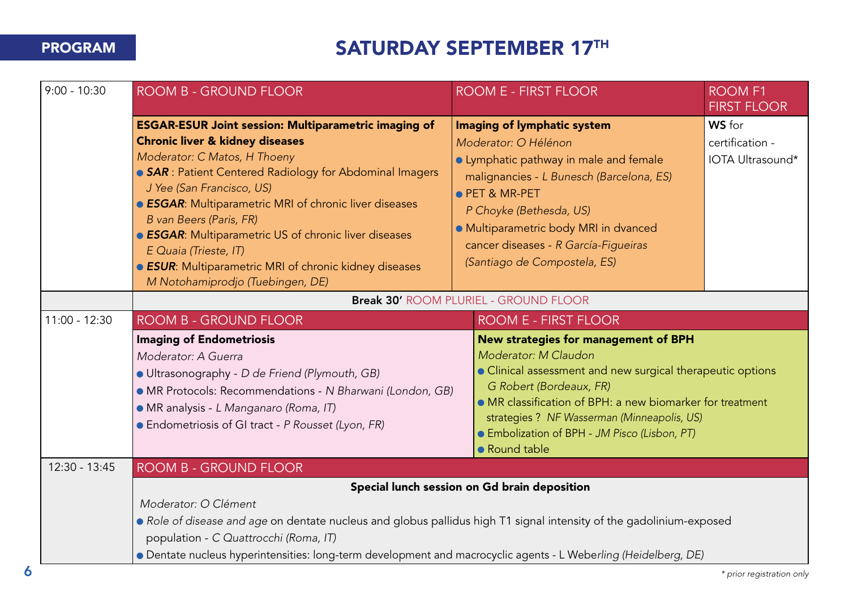## PROGRAM SATURDAY SEPTEMBER 17TH

| $9:00 - 10:30$  | <b>ROOM B - GROUND FLOOR</b>                                                                                                                                                                                                                                                                                                                                                                                                                                                                                                                                                                                 | <b>ROOM E - FIRST FLOOR</b>                                                                                                                                                                                                                                                                             | <b>ROOM F1</b><br><b>FIRST FLOOR</b>          |  |  |
|-----------------|--------------------------------------------------------------------------------------------------------------------------------------------------------------------------------------------------------------------------------------------------------------------------------------------------------------------------------------------------------------------------------------------------------------------------------------------------------------------------------------------------------------------------------------------------------------------------------------------------------------|---------------------------------------------------------------------------------------------------------------------------------------------------------------------------------------------------------------------------------------------------------------------------------------------------------|-----------------------------------------------|--|--|
|                 | <b>ESGAR-ESUR Joint session: Multiparametric imaging of</b><br><b>Chronic liver &amp; kidney diseases</b><br>Moderator: C Matos, H Thoeny<br>• SAR : Patient Centered Radiology for Abdominal Imagers<br>J Yee (San Francisco, US)<br><b>ESGAR:</b> Multiparametric MRI of chronic liver diseases<br>B van Beers (Paris, FR)<br><b>ESGAR:</b> Multiparametric US of chronic liver diseases<br>E Quaia (Trieste, IT)<br><b>ESUR:</b> Multiparametric MRI of chronic kidney diseases                                                                                                                           | Imaging of lymphatic system<br>Moderator: O Hélénon<br>• Lymphatic pathway in male and female<br>malignancies - L Bunesch (Barcelona, ES)<br>● PET & MR-PET<br>P Choyke (Bethesda, US)<br>· Multiparametric body MRI in dvanced<br>cancer diseases - R García-Figueiras<br>(Santiago de Compostela, ES) | WS for<br>certification -<br>IOTA Ultrasound* |  |  |
|                 | M Notohamiprodjo (Tuebingen, DE)<br><b>Break 30' ROOM PLURIEL - GROUND FLOOR</b>                                                                                                                                                                                                                                                                                                                                                                                                                                                                                                                             |                                                                                                                                                                                                                                                                                                         |                                               |  |  |
| $11:00 - 12:30$ | ROOM B - GROUND FLOOR                                                                                                                                                                                                                                                                                                                                                                                                                                                                                                                                                                                        | <b>ROOM E - FIRST FLOOR</b>                                                                                                                                                                                                                                                                             |                                               |  |  |
|                 | <b>Imaging of Endometriosis</b><br>New strategies for management of BPH<br>Moderator: M Claudon<br>Moderator: A Guerra<br>• Clinical assessment and new surgical therapeutic options<br>· Ultrasonography - D de Friend (Plymouth, GB)<br>G Robert (Bordeaux, FR)<br>· MR Protocols: Recommendations - N Bharwani (London, GB)<br>• MR classification of BPH: a new biomarker for treatment<br>• MR analysis - L Manganaro (Roma, IT)<br>strategies ? NF Wasserman (Minneapolis, US)<br>• Endometriosis of GI tract - P Rousset (Lyon, FR)<br>• Embolization of BPH - JM Pisco (Lisbon, PT)<br>• Round table |                                                                                                                                                                                                                                                                                                         |                                               |  |  |
| $12:30 - 13:45$ | <b>ROOM B - GROUND FLOOR</b>                                                                                                                                                                                                                                                                                                                                                                                                                                                                                                                                                                                 |                                                                                                                                                                                                                                                                                                         |                                               |  |  |
|                 | Special lunch session on Gd brain deposition<br>Moderator: O Clément<br>• Role of disease and age on dentate nucleus and globus pallidus high T1 signal intensity of the gadolinium-exposed<br>population - C Quattrocchi (Roma, IT)                                                                                                                                                                                                                                                                                                                                                                         |                                                                                                                                                                                                                                                                                                         |                                               |  |  |
|                 | • Dentate nucleus hyperintensities: long-term development and macrocyclic agents - L Weberling (Heidelberg, DE)                                                                                                                                                                                                                                                                                                                                                                                                                                                                                              |                                                                                                                                                                                                                                                                                                         |                                               |  |  |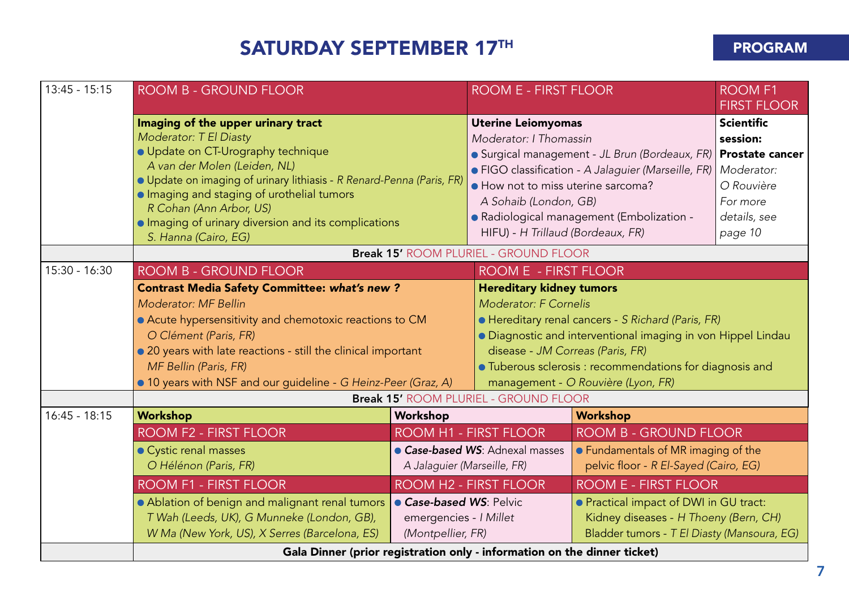## SATURDAY SEPTEMBER 17TH PROGRAM

| $13:45 - 15:15$ | <b>ROOM B - GROUND FLOOR</b>                                                                                                                                                                                                                                                                                                                                         |                                                                | <b>ROOM E - FIRST FLOOR</b>                                                                                                                                                                                                                                                                                                 |                                                                              | <b>ROOM F1</b><br><b>FIRST FLOOR</b>                                                             |
|-----------------|----------------------------------------------------------------------------------------------------------------------------------------------------------------------------------------------------------------------------------------------------------------------------------------------------------------------------------------------------------------------|----------------------------------------------------------------|-----------------------------------------------------------------------------------------------------------------------------------------------------------------------------------------------------------------------------------------------------------------------------------------------------------------------------|------------------------------------------------------------------------------|--------------------------------------------------------------------------------------------------|
|                 | Imaging of the upper urinary tract<br>Moderator: T El Diasty<br>· Update on CT-Urography technique<br>A van der Molen (Leiden, NL)<br>· Update on imaging of urinary lithiasis - R Renard-Penna (Paris, FR)<br>· Imaging and staging of urothelial tumors<br>R Cohan (Ann Arbor, US)<br>• Imaging of urinary diversion and its complications<br>S. Hanna (Cairo, EG) |                                                                | <b>Uterine Leiomyomas</b><br>Moderator: I Thomassin<br>Surgical management - JL Brun (Bordeaux, FR) Prostate cancer<br>• FIGO classification - A Jalaquier (Marseille, FR)<br>• How not to miss uterine sarcoma?<br>A Sohaib (London, GB)<br>· Radiological management (Embolization -<br>HIFU) - H Trillaud (Bordeaux, FR) |                                                                              | <b>Scientific</b><br>session:<br>Moderator:<br>O Rouvière<br>For more<br>details, see<br>page 10 |
|                 |                                                                                                                                                                                                                                                                                                                                                                      |                                                                | <b>Break 15' ROOM PLURIEL - GROUND FLOOR</b>                                                                                                                                                                                                                                                                                |                                                                              |                                                                                                  |
| $15:30 - 16:30$ | <b>ROOM B - GROUND FLOOR</b>                                                                                                                                                                                                                                                                                                                                         |                                                                | ROOM E - FIRST FLOOR                                                                                                                                                                                                                                                                                                        |                                                                              |                                                                                                  |
|                 | <b>Contrast Media Safety Committee: what's new?</b><br>Moderator: MF Bellin<br>• Acute hypersensitivity and chemotoxic reactions to CM<br>O Clément (Paris, FR)<br>• 20 years with late reactions - still the clinical important<br>MF Bellin (Paris, FR)<br>• 10 years with NSF and our guideline - G Heinz-Peer (Graz, A)                                          |                                                                | <b>Hereditary kidney tumors</b><br>Moderator: F Cornelis<br>• Hereditary renal cancers - S Richard (Paris, FR)<br>• Diagnostic and interventional imaging in von Hippel Lindau<br>disease - JM Correas (Paris, FR)<br>· Tuberous sclerosis : recommendations for diagnosis and<br>management - O Rouvière (Lyon, FR)        |                                                                              |                                                                                                  |
| $16:45 - 18:15$ | Workshop                                                                                                                                                                                                                                                                                                                                                             | Workshop                                                       | <b>Break 15' ROOM PLURIEL - GROUND FLOOR</b>                                                                                                                                                                                                                                                                                | Workshop                                                                     |                                                                                                  |
|                 | ROOM F2 - FIRST FLOOR                                                                                                                                                                                                                                                                                                                                                |                                                                | ROOM H1 - FIRST FLOOR                                                                                                                                                                                                                                                                                                       | ROOM B - GROUND FLOOR                                                        |                                                                                                  |
|                 | • Cystic renal masses<br>O Hélénon (Paris, FR)                                                                                                                                                                                                                                                                                                                       | • Case-based WS: Adnexal masses<br>A Jalaguier (Marseille, FR) |                                                                                                                                                                                                                                                                                                                             | • Fundamentals of MR imaging of the<br>pelvic floor - R El-Sayed (Cairo, EG) |                                                                                                  |
|                 | <b>ROOM F1 - FIRST FLOOR</b>                                                                                                                                                                                                                                                                                                                                         |                                                                | ROOM H <sub>2</sub> - FIRST FLOOR                                                                                                                                                                                                                                                                                           | <b>ROOM E - FIRST FLOOR</b>                                                  |                                                                                                  |
|                 | • Ablation of benign and malignant renal tumors<br>Case-based WS: Pelvic<br>T Wah (Leeds, UK), G Munneke (London, GB),<br>emergencies - I Millet<br>W Ma (New York, US), X Serres (Barcelona, ES)<br>(Montpellier, FR)                                                                                                                                               |                                                                | • Practical impact of DWI in GU tract:<br>Kidney diseases - H Thoeny (Bern, CH)<br>Bladder tumors - T El Diasty (Mansoura, EG)                                                                                                                                                                                              |                                                                              |                                                                                                  |
|                 | Gala Dinner (prior registration only - information on the dinner ticket)                                                                                                                                                                                                                                                                                             |                                                                |                                                                                                                                                                                                                                                                                                                             |                                                                              |                                                                                                  |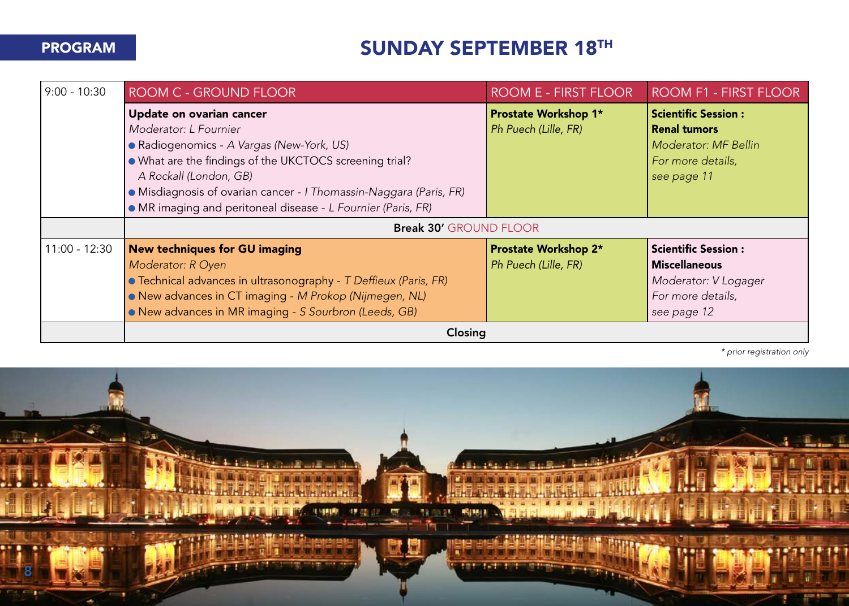## **PROGRAM SUNDAY SEPTEMBER 18<sup>TH</sup>**

| $9:00 - 10:30$  | <b>ROOM C - GROUND FLOOR</b>                                       | ROOM E - FIRST FLOOR        | ROOM F1 - FIRST FLOOR      |  |  |
|-----------------|--------------------------------------------------------------------|-----------------------------|----------------------------|--|--|
|                 | Update on ovarian cancer                                           | <b>Prostate Workshop 1*</b> | <b>Scientific Session:</b> |  |  |
|                 | Moderator: L Fournier                                              | Ph Puech (Lille, FR)        | <b>Renal tumors</b>        |  |  |
|                 | • Radiogenomics - A Vargas (New-York, US)                          |                             | Moderator: MF Bellin       |  |  |
|                 | • What are the findings of the UKCTOCS screening trial?            |                             | For more details,          |  |  |
|                 | A Rockall (London, GB)                                             |                             | see page 11                |  |  |
|                 | · Misdiagnosis of ovarian cancer - I Thomassin-Naggara (Paris, FR) |                             |                            |  |  |
|                 | · MR imaging and peritoneal disease - L Fournier (Paris, FR)       |                             |                            |  |  |
|                 | <b>Break 30' GROUND FLOOR</b>                                      |                             |                            |  |  |
| $11:00 - 12:30$ | <b>New techniques for GU imaging</b>                               | <b>Prostate Workshop 2*</b> | <b>Scientific Session:</b> |  |  |
|                 | Moderator: R Oyen                                                  | Ph Puech (Lille, FR)        | <b>Miscellaneous</b>       |  |  |
|                 | • Technical advances in ultrasonography - T Deffieux (Paris, FR)   |                             | Moderator: V Logager       |  |  |
|                 | • New advances in CT imaging - M Prokop (Nijmegen, NL)             |                             | For more details,          |  |  |
|                 | • New advances in MR imaging - S Sourbron (Leeds, GB)              |                             | see page 12                |  |  |
|                 | Closing                                                            |                             |                            |  |  |

*\* prior registration only*

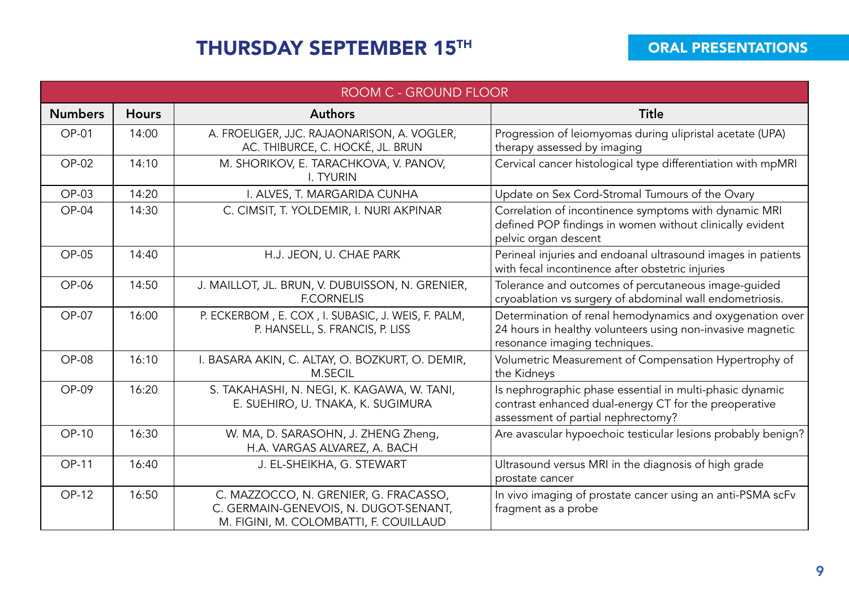## THURSDAY SEPTEMBER 15<sup>TH</sup> ORAL PRESENTATIONS

|                | ROOM C - GROUND FLOOR |                                                                                                                          |                                                                                                                                                         |  |  |
|----------------|-----------------------|--------------------------------------------------------------------------------------------------------------------------|---------------------------------------------------------------------------------------------------------------------------------------------------------|--|--|
| <b>Numbers</b> | <b>Hours</b>          | <b>Authors</b>                                                                                                           | Title                                                                                                                                                   |  |  |
| OP-01          | 14:00                 | A. FROELIGER, JJC. RAJAONARISON, A. VOGLER,<br>AC. THIBURCE, C. HOCKÉ, JL. BRUN                                          | Progression of leiomyomas during ulipristal acetate (UPA)<br>therapy assessed by imaging                                                                |  |  |
| $OP-02$        | 14:10                 | M. SHORIKOV, E. TARACHKOVA, V. PANOV,<br><b>I. TYURIN</b>                                                                | Cervical cancer histological type differentiation with mpMRI                                                                                            |  |  |
| OP-03          | 14:20                 | I. ALVES, T. MARGARIDA CUNHA                                                                                             | Update on Sex Cord-Stromal Tumours of the Ovary                                                                                                         |  |  |
| $OP-04$        | 14:30                 | C. CIMSIT, T. YOLDEMIR, I. NURI AKPINAR                                                                                  | Correlation of incontinence symptoms with dynamic MRI<br>defined POP findings in women without clinically evident<br>pelvic organ descent               |  |  |
| $OP-05$        | 14:40                 | H.J. JEON, U. CHAE PARK                                                                                                  | Perineal injuries and endoanal ultrasound images in patients<br>with fecal incontinence after obstetric injuries                                        |  |  |
| $OP-06$        | 14:50                 | J. MAILLOT, JL. BRUN, V. DUBUISSON, N. GRENIER,<br><b>F.CORNELIS</b>                                                     | Tolerance and outcomes of percutaneous image-quided<br>cryoablation vs surgery of abdominal wall endometriosis.                                         |  |  |
| $OP-07$        | 16:00                 | P. ECKERBOM, E. COX, I. SUBASIC, J. WEIS, F. PALM,<br>P. HANSELL, S. FRANCIS, P. LISS                                    | Determination of renal hemodynamics and oxygenation over<br>24 hours in healthy volunteers using non-invasive magnetic<br>resonance imaging techniques. |  |  |
| $OP-08$        | 16:10                 | I. BASARA AKIN, C. ALTAY, O. BOZKURT, O. DEMIR,<br>M.SECIL                                                               | Volumetric Measurement of Compensation Hypertrophy of<br>the Kidneys                                                                                    |  |  |
| $OP-09$        | 16:20                 | S. TAKAHASHI, N. NEGI, K. KAGAWA, W. TANI,<br>E. SUEHIRO, U. TNAKA, K. SUGIMURA                                          | Is nephrographic phase essential in multi-phasic dynamic<br>contrast enhanced dual-energy CT for the preoperative<br>assessment of partial nephrectomy? |  |  |
| OP-10          | 16:30                 | W. MA, D. SARASOHN, J. ZHENG Zheng,<br>H.A. VARGAS ALVAREZ, A. BACH                                                      | Are avascular hypoechoic testicular lesions probably benign?                                                                                            |  |  |
| OP-11          | 16:40                 | J. EL-SHEIKHA, G. STEWART                                                                                                | Ultrasound versus MRI in the diagnosis of high grade<br>prostate cancer                                                                                 |  |  |
| OP-12          | 16:50                 | C. MAZZOCCO, N. GRENIER, G. FRACASSO,<br>C. GERMAIN-GENEVOIS, N. DUGOT-SENANT,<br>M. FIGINI, M. COLOMBATTI, F. COUILLAUD | In vivo imaging of prostate cancer using an anti-PSMA scFv<br>fragment as a probe                                                                       |  |  |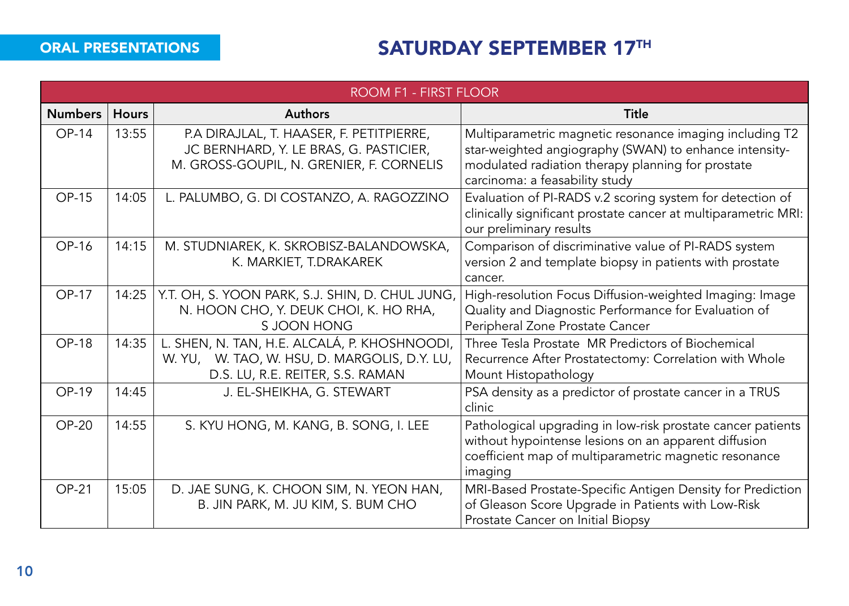## ORAL PRESENTATIONS SATURDAY SEPTEMBER 17TH

|                | ROOM F1 - FIRST FLOOR |                                                                                                                                  |                                                                                                                                                                                                          |  |  |
|----------------|-----------------------|----------------------------------------------------------------------------------------------------------------------------------|----------------------------------------------------------------------------------------------------------------------------------------------------------------------------------------------------------|--|--|
| <b>Numbers</b> | <b>Hours</b>          | <b>Authors</b>                                                                                                                   | <b>Title</b>                                                                                                                                                                                             |  |  |
| OP-14          | 13:55                 | P.A DIRAJLAL, T. HAASER, F. PETITPIERRE,<br>JC BERNHARD, Y. LE BRAS, G. PASTICIER,<br>M. GROSS-GOUPIL, N. GRENIER, F. CORNELIS   | Multiparametric magnetic resonance imaging including T2<br>star-weighted angiography (SWAN) to enhance intensity-<br>modulated radiation therapy planning for prostate<br>carcinoma: a feasability study |  |  |
| OP-15          | 14:05                 | L. PALUMBO, G. DI COSTANZO, A. RAGOZZINO                                                                                         | Evaluation of PI-RADS v.2 scoring system for detection of<br>clinically significant prostate cancer at multiparametric MRI:<br>our preliminary results                                                   |  |  |
| OP-16          | 14:15                 | M. STUDNIAREK, K. SKROBISZ-BALANDOWSKA,<br>K. MARKIET, T.DRAKAREK                                                                | Comparison of discriminative value of PI-RADS system<br>version 2 and template biopsy in patients with prostate<br>cancer.                                                                               |  |  |
| OP-17          | 14:25                 | Y.T. OH, S. YOON PARK, S.J. SHIN, D. CHUL JUNG,<br>N. HOON CHO, Y. DEUK CHOI, K. HO RHA,<br>S JOON HONG                          | High-resolution Focus Diffusion-weighted Imaging: Image<br>Quality and Diagnostic Performance for Evaluation of<br>Peripheral Zone Prostate Cancer                                                       |  |  |
| <b>OP-18</b>   | 14:35                 | L. SHEN, N. TAN, H.E. ALCALÁ, P. KHOSHNOODI,<br>W. YU, W. TAO, W. HSU, D. MARGOLIS, D.Y. LU,<br>D.S. LU, R.E. REITER, S.S. RAMAN | Three Tesla Prostate MR Predictors of Biochemical<br>Recurrence After Prostatectomy: Correlation with Whole<br>Mount Histopathology                                                                      |  |  |
| OP-19          | 14:45                 | J. EL-SHEIKHA, G. STEWART                                                                                                        | PSA density as a predictor of prostate cancer in a TRUS<br>clinic                                                                                                                                        |  |  |
| $OP-20$        | 14:55                 | S. KYU HONG, M. KANG, B. SONG, I. LEE                                                                                            | Pathological upgrading in low-risk prostate cancer patients<br>without hypointense lesions on an apparent diffusion<br>coefficient map of multiparametric magnetic resonance<br>imaging                  |  |  |
| <b>OP-21</b>   | 15:05                 | D. JAE SUNG, K. CHOON SIM, N. YEON HAN,<br>B. JIN PARK, M. JU KIM, S. BUM CHO                                                    | MRI-Based Prostate-Specific Antigen Density for Prediction<br>of Gleason Score Upgrade in Patients with Low-Risk<br>Prostate Cancer on Initial Biopsy                                                    |  |  |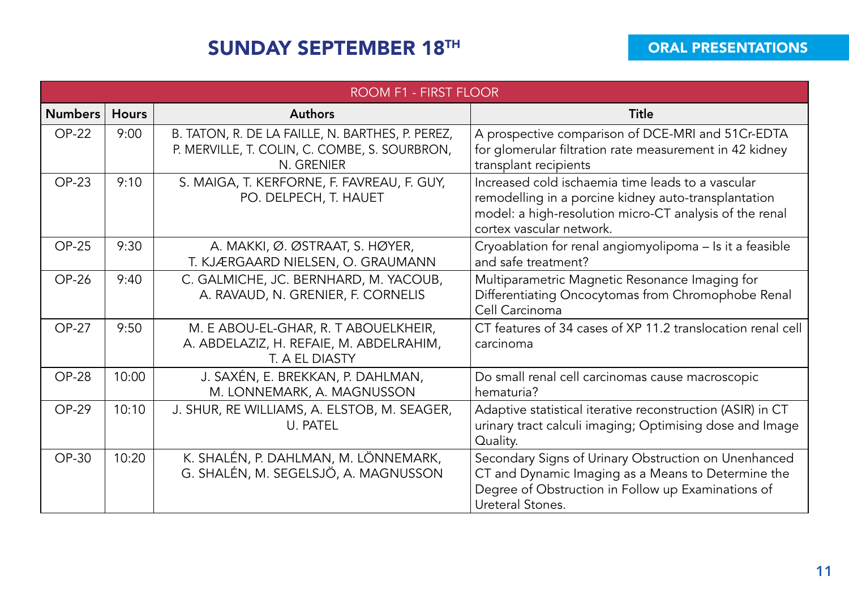## SUNDAY SEPTEMBER 18TH

|                | ROOM F1 - FIRST FLOOR |                                                                                                                 |                                                                                                                                                                                                  |  |  |  |
|----------------|-----------------------|-----------------------------------------------------------------------------------------------------------------|--------------------------------------------------------------------------------------------------------------------------------------------------------------------------------------------------|--|--|--|
| <b>Numbers</b> | <b>Hours</b>          | Authors                                                                                                         | Title                                                                                                                                                                                            |  |  |  |
| $OP-22$        | 9:00                  | B. TATON, R. DE LA FAILLE, N. BARTHES, P. PEREZ,<br>P. MERVILLE, T. COLIN, C. COMBE, S. SOURBRON,<br>N. GRENIER | A prospective comparison of DCE-MRI and 51Cr-EDTA<br>for glomerular filtration rate measurement in 42 kidney<br>transplant recipients                                                            |  |  |  |
| $OP-23$        | 9:10                  | S. MAIGA, T. KERFORNE, F. FAVREAU, F. GUY,<br>PO. DELPECH, T. HAUET                                             | Increased cold ischaemia time leads to a vascular<br>remodelling in a porcine kidney auto-transplantation<br>model: a high-resolution micro-CT analysis of the renal<br>cortex vascular network. |  |  |  |
| $OP-25$        | 9:30                  | A. MAKKI, Ø. ØSTRAAT, S. HØYER,<br>T. KJÆRGAARD NIELSEN, O. GRAUMANN                                            | Cryoablation for renal angiomyolipoma - Is it a feasible<br>and safe treatment?                                                                                                                  |  |  |  |
| <b>OP-26</b>   | 9:40                  | C. GALMICHE, JC. BERNHARD, M. YACOUB,<br>A. RAVAUD, N. GRENIER, F. CORNELIS                                     | Multiparametric Magnetic Resonance Imaging for<br>Differentiating Oncocytomas from Chromophobe Renal<br>Cell Carcinoma                                                                           |  |  |  |
| <b>OP-27</b>   | 9:50                  | M. E ABOU-EL-GHAR, R. T ABOUELKHEIR,<br>A. ABDELAZIZ, H. REFAIE, M. ABDELRAHIM,<br>T. A FI DIASTY               | CT features of 34 cases of XP 11.2 translocation renal cell<br>carcinoma                                                                                                                         |  |  |  |
| <b>OP-28</b>   | 10:00                 | J. SAXÉN, E. BREKKAN, P. DAHLMAN,<br>M. LONNEMARK, A. MAGNUSSON                                                 | Do small renal cell carcinomas cause macroscopic<br>hematuria?                                                                                                                                   |  |  |  |
| OP-29          | 10:10                 | J. SHUR, RE WILLIAMS, A. ELSTOB, M. SEAGER,<br>U. PATEL                                                         | Adaptive statistical iterative reconstruction (ASIR) in CT<br>urinary tract calculi imaging; Optimising dose and Image<br>Quality.                                                               |  |  |  |
| OP-30          | 10:20                 | K. SHALÉN, P. DAHLMAN, M. LÖNNEMARK,<br>G. SHALÉN, M. SEGELSJÖ, A. MAGNUSSON                                    | Secondary Signs of Urinary Obstruction on Unenhanced<br>CT and Dynamic Imaging as a Means to Determine the<br>Degree of Obstruction in Follow up Examinations of<br>Ureteral Stones.             |  |  |  |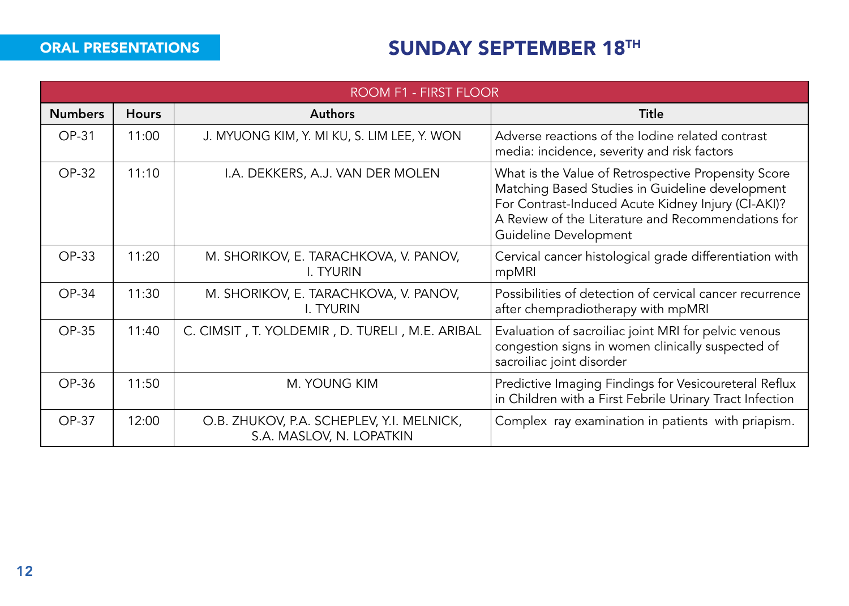## **ORAL PRESENTATIONS** SUNDAY SEPTEMBER 18<sup>TH</sup>

|                | ROOM F1 - FIRST FLOOR |                                                                       |                                                                                                                                                                                                                                             |  |  |  |
|----------------|-----------------------|-----------------------------------------------------------------------|---------------------------------------------------------------------------------------------------------------------------------------------------------------------------------------------------------------------------------------------|--|--|--|
| <b>Numbers</b> | <b>Hours</b>          | <b>Authors</b>                                                        | Title                                                                                                                                                                                                                                       |  |  |  |
| OP-31          | 11:00                 | J. MYUONG KIM, Y. MI KU, S. LIM LEE, Y. WON                           | Adverse reactions of the lodine related contrast<br>media: incidence, severity and risk factors                                                                                                                                             |  |  |  |
| OP-32          | 11:10                 | I.A. DEKKERS, A.J. VAN DER MOLEN                                      | What is the Value of Retrospective Propensity Score<br>Matching Based Studies in Guideline development<br>For Contrast-Induced Acute Kidney Injury (CI-AKI)?<br>A Review of the Literature and Recommendations for<br>Guideline Development |  |  |  |
| $OP-33$        | 11:20                 | M. SHORIKOV, E. TARACHKOVA, V. PANOV,<br>I. TYURIN                    | Cervical cancer histological grade differentiation with<br>mpMRI                                                                                                                                                                            |  |  |  |
| OP-34          | 11:30                 | M. SHORIKOV, E. TARACHKOVA, V. PANOV,<br>I. TYURIN                    | Possibilities of detection of cervical cancer recurrence<br>after chempradiotherapy with mpMRI                                                                                                                                              |  |  |  |
| OP-35          | 11:40                 | C. CIMSIT, T. YOLDEMIR, D. TURELI, M.E. ARIBAL                        | Evaluation of sacroiliac joint MRI for pelvic venous<br>congestion signs in women clinically suspected of<br>sacroiliac joint disorder                                                                                                      |  |  |  |
| OP-36          | 11:50                 | <b>M. YOUNG KIM</b>                                                   | Predictive Imaging Findings for Vesicoureteral Reflux<br>in Children with a First Febrile Urinary Tract Infection                                                                                                                           |  |  |  |
| OP-37          | 12:00                 | O.B. ZHUKOV, P.A. SCHEPLEV, Y.I. MELNICK,<br>S.A. MASLOV, N. LOPATKIN | Complex ray examination in patients with priapism.                                                                                                                                                                                          |  |  |  |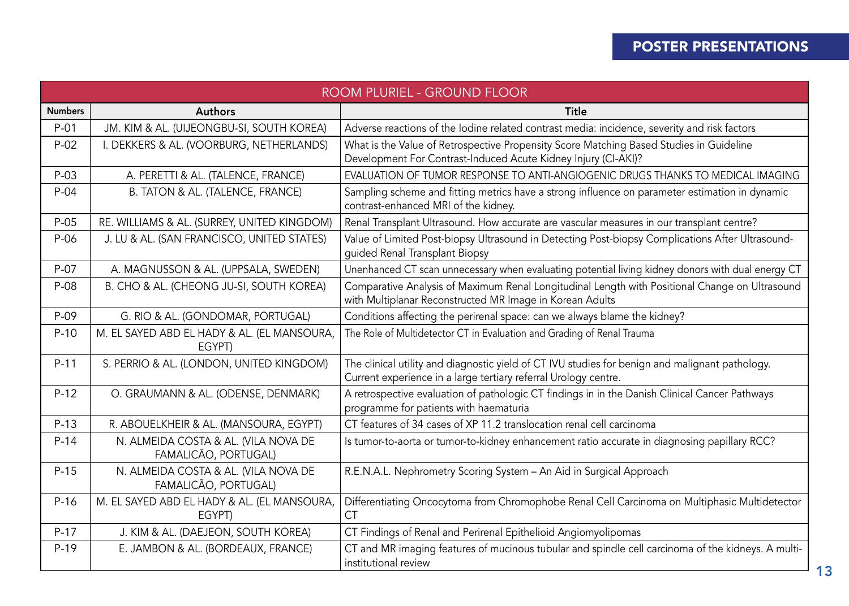## POSTER PRESENTATIONS

|                | ROOM PLURIEL - GROUND FLOOR                                  |                                                                                                                                                                    |  |  |
|----------------|--------------------------------------------------------------|--------------------------------------------------------------------------------------------------------------------------------------------------------------------|--|--|
| <b>Numbers</b> | <b>Authors</b>                                               | Title                                                                                                                                                              |  |  |
| $P-01$         | JM. KIM & AL. (UIJEONGBU-SI, SOUTH KOREA)                    | Adverse reactions of the lodine related contrast media: incidence, severity and risk factors                                                                       |  |  |
| $P-02$         | I. DEKKERS & AL. (VOORBURG, NETHERLANDS)                     | What is the Value of Retrospective Propensity Score Matching Based Studies in Guideline<br>Development For Contrast-Induced Acute Kidney Injury (CI-AKI)?          |  |  |
| $P-03$         | A. PERETTI & AL. (TALENCE, FRANCE)                           | EVALUATION OF TUMOR RESPONSE TO ANTI-ANGIOGENIC DRUGS THANKS TO MEDICAL IMAGING                                                                                    |  |  |
| $P-04$         | B. TATON & AL. (TALENCE, FRANCE)                             | Sampling scheme and fitting metrics have a strong influence on parameter estimation in dynamic<br>contrast-enhanced MRI of the kidney.                             |  |  |
| $P-05$         | RE. WILLIAMS & AL. (SURREY, UNITED KINGDOM)                  | Renal Transplant Ultrasound. How accurate are vascular measures in our transplant centre?                                                                          |  |  |
| P-06           | J. LU & AL. (SAN FRANCISCO, UNITED STATES)                   | Value of Limited Post-biopsy Ultrasound in Detecting Post-biopsy Complications After Ultrasound-<br>quided Renal Transplant Biopsy                                 |  |  |
| P-07           | A. MAGNUSSON & AL. (UPPSALA, SWEDEN)                         | Unenhanced CT scan unnecessary when evaluating potential living kidney donors with dual energy CT                                                                  |  |  |
| $P-08$         | B. CHO & AL. (CHEONG JU-SI, SOUTH KOREA)                     | Comparative Analysis of Maximum Renal Longitudinal Length with Positional Change on Ultrasound<br>with Multiplanar Reconstructed MR Image in Korean Adults         |  |  |
| P-09           | G. RIO & AL. (GONDOMAR, PORTUGAL)                            | Conditions affecting the perirenal space: can we always blame the kidney?                                                                                          |  |  |
| $P-10$         | M. EL SAYED ABD EL HADY & AL. (EL MANSOURA,<br>EGYPT)        | The Role of Multidetector CT in Evaluation and Grading of Renal Trauma                                                                                             |  |  |
| $P-11$         | S. PERRIO & AL. (LONDON, UNITED KINGDOM)                     | The clinical utility and diagnostic yield of CT IVU studies for benign and malignant pathology.<br>Current experience in a large tertiary referral Urology centre. |  |  |
| $P-12$         | O. GRAUMANN & AL. (ODENSE, DENMARK)                          | A retrospective evaluation of pathologic CT findings in in the Danish Clinical Cancer Pathways<br>programme for patients with haematuria                           |  |  |
| $P-13$         | R. ABOUELKHEIR & AL. (MANSOURA, EGYPT)                       | CT features of 34 cases of XP 11.2 translocation renal cell carcinoma                                                                                              |  |  |
| $P-14$         | N. ALMEIDA COSTA & AL. (VILA NOVA DE<br>FAMALICÃO, PORTUGAL) | Is tumor-to-aorta or tumor-to-kidney enhancement ratio accurate in diagnosing papillary RCC?                                                                       |  |  |
| $P-15$         | N. ALMEIDA COSTA & AL. (VILA NOVA DE<br>FAMALICÃO, PORTUGAL) | R.E.N.A.L. Nephrometry Scoring System - An Aid in Surgical Approach                                                                                                |  |  |
| $P-16$         | M. EL SAYED ABD EL HADY & AL. (EL MANSOURA,<br>EGYPT)        | Differentiating Oncocytoma from Chromophobe Renal Cell Carcinoma on Multiphasic Multidetector<br>СT                                                                |  |  |
| $P-17$         | J. KIM & AL. (DAEJEON, SOUTH KOREA)                          | CT Findings of Renal and Perirenal Epithelioid Angiomyolipomas                                                                                                     |  |  |
| $P-19$         | E. JAMBON & AL. (BORDEAUX, FRANCE)                           | CT and MR imaging features of mucinous tubular and spindle cell carcinoma of the kidneys. A multi-<br>institutional review<br>13                                   |  |  |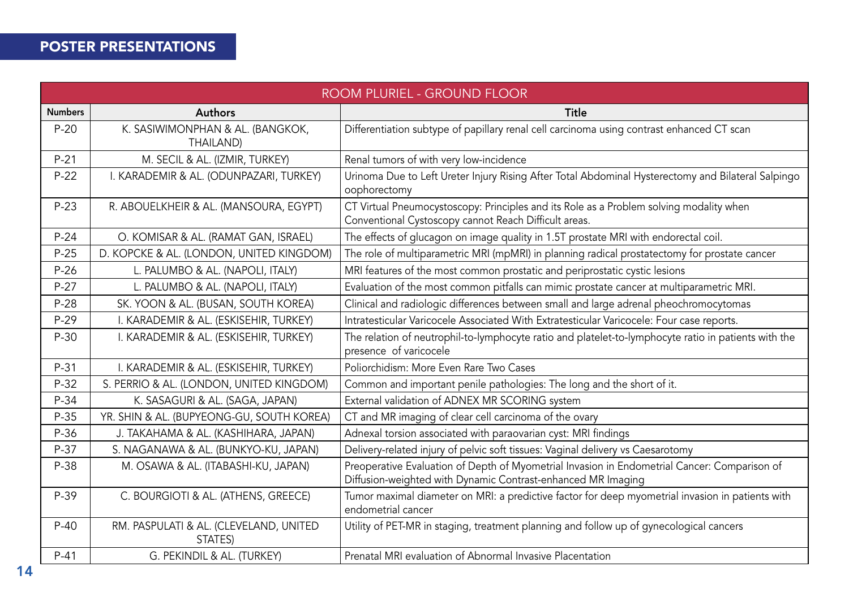## POSTER PRESENTATIONS

|                | ROOM PLURIEL - GROUND FLOOR                       |                                                                                                                                                              |  |  |
|----------------|---------------------------------------------------|--------------------------------------------------------------------------------------------------------------------------------------------------------------|--|--|
| <b>Numbers</b> | <b>Authors</b>                                    | Title                                                                                                                                                        |  |  |
| $P-20$         | K. SASIWIMONPHAN & AL. (BANGKOK,<br>THAILAND)     | Differentiation subtype of papillary renal cell carcinoma using contrast enhanced CT scan                                                                    |  |  |
| $P - 21$       | M. SECIL & AL. (IZMIR, TURKEY)                    | Renal tumors of with very low-incidence                                                                                                                      |  |  |
| $P-22$         | I. KARADEMIR & AL. (ODUNPAZARI, TURKEY)           | Urinoma Due to Left Ureter Injury Rising After Total Abdominal Hysterectomy and Bilateral Salpingo<br>oophorectomy                                           |  |  |
| $P-23$         | R. ABOUELKHEIR & AL. (MANSOURA, EGYPT)            | CT Virtual Pneumocystoscopy: Principles and its Role as a Problem solving modality when<br>Conventional Cystoscopy cannot Reach Difficult areas.             |  |  |
| $P-24$         | O. KOMISAR & AL. (RAMAT GAN, ISRAEL)              | The effects of glucagon on image quality in 1.5T prostate MRI with endorectal coil.                                                                          |  |  |
| $P-25$         | D. KOPCKE & AL. (LONDON, UNITED KINGDOM)          | The role of multiparametric MRI (mpMRI) in planning radical prostatectomy for prostate cancer                                                                |  |  |
| $P-26$         | L. PALUMBO & AL. (NAPOLI, ITALY)                  | MRI features of the most common prostatic and periprostatic cystic lesions                                                                                   |  |  |
| $P-27$         | L. PALUMBO & AL. (NAPOLI, ITALY)                  | Evaluation of the most common pitfalls can mimic prostate cancer at multiparametric MRI.                                                                     |  |  |
| $P-28$         | SK. YOON & AL. (BUSAN, SOUTH KOREA)               | Clinical and radiologic differences between small and large adrenal pheochromocytomas                                                                        |  |  |
| $P-29$         | I. KARADEMIR & AL. (ESKISEHIR, TURKEY)            | Intratesticular Varicocele Associated With Extratesticular Varicocele: Four case reports.                                                                    |  |  |
| $P-30$         | I. KARADEMIR & AL. (ESKISEHIR, TURKEY)            | The relation of neutrophil-to-lymphocyte ratio and platelet-to-lymphocyte ratio in patients with the<br>presence of varicocele                               |  |  |
| $P-31$         | I. KARADEMIR & AL. (ESKISEHIR, TURKEY)            | Poliorchidism: More Even Rare Two Cases                                                                                                                      |  |  |
| $P-32$         | S. PERRIO & AL. (LONDON, UNITED KINGDOM)          | Common and important penile pathologies: The long and the short of it.                                                                                       |  |  |
| $P-34$         | K. SASAGURI & AL. (SAGA, JAPAN)                   | External validation of ADNEX MR SCORING system                                                                                                               |  |  |
| $P-35$         | YR. SHIN & AL. (BUPYEONG-GU, SOUTH KOREA)         | CT and MR imaging of clear cell carcinoma of the ovary                                                                                                       |  |  |
| $P-36$         | J. TAKAHAMA & AL. (KASHIHARA, JAPAN)              | Adnexal torsion associated with paraovarian cyst: MRI findings                                                                                               |  |  |
| $P-37$         | S. NAGANAWA & AL. (BUNKYO-KU, JAPAN)              | Delivery-related injury of pelvic soft tissues: Vaginal delivery vs Caesarotomy                                                                              |  |  |
| $P-38$         | M. OSAWA & AL. (ITABASHI-KU, JAPAN)               | Preoperative Evaluation of Depth of Myometrial Invasion in Endometrial Cancer: Comparison of<br>Diffusion-weighted with Dynamic Contrast-enhanced MR Imaging |  |  |
| $P-39$         | C. BOURGIOTI & AL. (ATHENS, GREECE)               | Tumor maximal diameter on MRI: a predictive factor for deep myometrial invasion in patients with<br>endometrial cancer                                       |  |  |
| $P-40$         | RM. PASPULATI & AL. (CLEVELAND, UNITED<br>STATES) | Utility of PET-MR in staging, treatment planning and follow up of gynecological cancers                                                                      |  |  |
| $P-41$         | G. PEKINDIL & AL. (TURKEY)                        | Prenatal MRI evaluation of Abnormal Invasive Placentation                                                                                                    |  |  |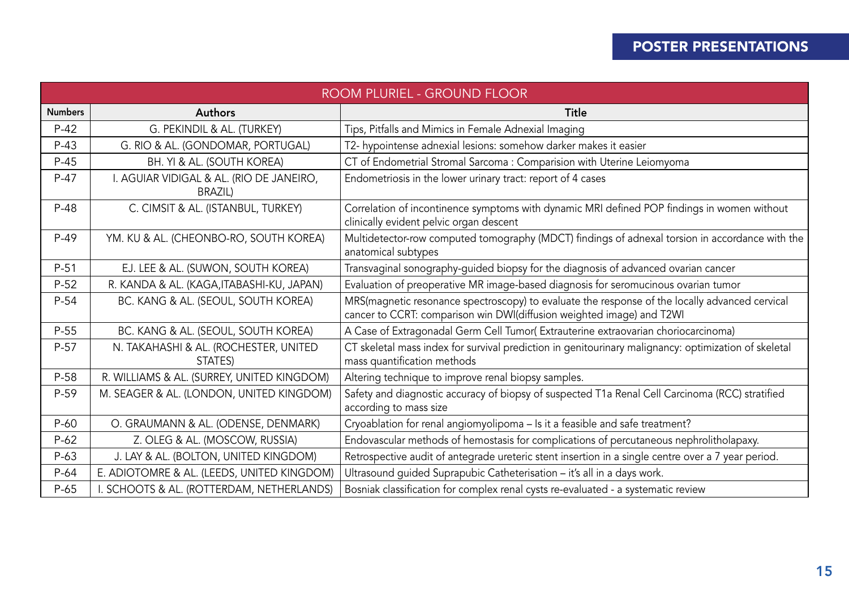### POSTER PRESENTATIONS

| ROOM PLURIEL - GROUND FLOOR |                                                            |                                                                                                                                                                         |
|-----------------------------|------------------------------------------------------------|-------------------------------------------------------------------------------------------------------------------------------------------------------------------------|
| <b>Numbers</b>              | <b>Authors</b>                                             | Title                                                                                                                                                                   |
| $P-42$                      | G. PEKINDIL & AL. (TURKEY)                                 | Tips, Pitfalls and Mimics in Female Adnexial Imaging                                                                                                                    |
| $P-43$                      | G. RIO & AL. (GONDOMAR, PORTUGAL)                          | T2- hypointense adnexial lesions: somehow darker makes it easier                                                                                                        |
| $P-45$                      | BH. YI & AL. (SOUTH KOREA)                                 | CT of Endometrial Stromal Sarcoma : Comparision with Uterine Leiomyoma                                                                                                  |
| $P-47$                      | I. AGUIAR VIDIGAL & AL. (RIO DE JANEIRO,<br><b>BRAZIL)</b> | Endometriosis in the lower urinary tract: report of 4 cases                                                                                                             |
| $P-48$                      | C. CIMSIT & AL. (ISTANBUL, TURKEY)                         | Correlation of incontinence symptoms with dynamic MRI defined POP findings in women without<br>clinically evident pelvic organ descent                                  |
| $P-49$                      | YM. KU & AL. (CHEONBO-RO, SOUTH KOREA)                     | Multidetector-row computed tomography (MDCT) findings of adnexal torsion in accordance with the<br>anatomical subtypes                                                  |
| $P-51$                      | EJ. LEE & AL. (SUWON, SOUTH KOREA)                         | Transvaginal sonography-guided biopsy for the diagnosis of advanced ovarian cancer                                                                                      |
| $P-52$                      | R. KANDA & AL. (KAGA, ITABASHI-KU, JAPAN)                  | Evaluation of preoperative MR image-based diagnosis for seromucinous ovarian tumor                                                                                      |
| $P-54$                      | BC. KANG & AL. (SEOUL, SOUTH KOREA)                        | MRS(magnetic resonance spectroscopy) to evaluate the response of the locally advanced cervical<br>cancer to CCRT: comparison win DWI(diffusion weighted image) and T2WI |
| $P-55$                      | BC. KANG & AL. (SEOUL, SOUTH KOREA)                        | A Case of Extragonadal Germ Cell Tumor(Extrauterine extraovarian choriocarcinoma)                                                                                       |
| $P-57$                      | N. TAKAHASHI & AL. (ROCHESTER, UNITED<br>STATES)           | CT skeletal mass index for survival prediction in genitourinary malignancy: optimization of skeletal<br>mass quantification methods                                     |
| $P-58$                      | R. WILLIAMS & AL. (SURREY, UNITED KINGDOM)                 | Altering technique to improve renal biopsy samples.                                                                                                                     |
| P-59                        | M. SEAGER & AL. (LONDON, UNITED KINGDOM)                   | Safety and diagnostic accuracy of biopsy of suspected T1a Renal Cell Carcinoma (RCC) stratified<br>according to mass size                                               |
| $P-60$                      | O. GRAUMANN & AL. (ODENSE, DENMARK)                        | Cryoablation for renal angiomyolipoma - Is it a feasible and safe treatment?                                                                                            |
| $P-62$                      | Z. OLEG & AL. (MOSCOW, RUSSIA)                             | Endovascular methods of hemostasis for complications of percutaneous nephrolitholapaxy.                                                                                 |
| $P-63$                      | J. LAY & AL. (BOLTON, UNITED KINGDOM)                      | Retrospective audit of antegrade ureteric stent insertion in a single centre over a 7 year period.                                                                      |
| $P-64$                      | E. ADIOTOMRE & AL. (LEEDS, UNITED KINGDOM)                 | Ultrasound quided Suprapubic Catheterisation - it's all in a days work.                                                                                                 |
| $P-65$                      | I. SCHOOTS & AL. (ROTTERDAM, NETHERLANDS)                  | Bosniak classification for complex renal cysts re-evaluated - a systematic review                                                                                       |